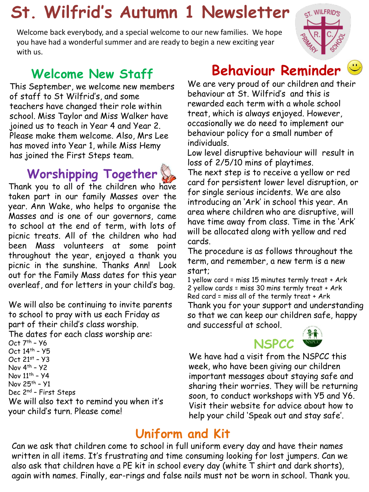# **St. Wilfrid's Autumn 1 Newsletter**

Welcome back everybody, and a special welcome to our new families. We hope you have had a wonderful summer and are ready to begin a new exciting year with us.

#### **Welcome New Staff**

This September, we welcome new members of staff to St Wilfrid's, and some teachers have changed their role within school. Miss Taylor and Miss Walker have joined us to teach in Year 4 and Year 2. Please make them welcome. Also, Mrs Lee has moved into Year 1, while Miss Hemy has joined the First Steps team.

### **Worshipping Together**



Thank you to all of the children who have taken part in our family Masses over the year. Ann Wake, who helps to organise the Masses and is one of our governors, came to school at the end of term, with lots of picnic treats. All of the children who had been Mass volunteers at some point throughout the year, enjoyed a thank you picnic in the sunshine. Thanks Ann! Look out for the Family Mass dates for this year overleaf, and for letters in your child's bag.

We will also be continuing to invite parents to school to pray with us each Friday as part of their child's class worship.

The dates for each class worship are: Oct 7th – Y6

Oct 14th – Y5 Oct 21st – Y3 Nov  $4<sup>th</sup> - y2$ Nov  $11^{th}$  -  $Y4$ Nov 25th – Y1 Dec 2nd – First Steps We will also text to remind you when it's your child's turn. Please come!

## **Behaviour Reminder**

We are very proud of our children and their behaviour at St. Wilfrid's and this is rewarded each term with a whole school treat, which is always enjoyed. However, occasionally we do need to implement our behaviour policy for a small number of individuals.

Low level disruptive behaviour will result in loss of 2/5/10 mins of playtimes. The next step is to receive a yellow or red card for persistent lower level disruption, or for single serious incidents. We are also introducing an 'Ark' in school this year. An area where children who are disruptive, will have time away from class. Time in the 'Ark' will be allocated along with yellow and red cards.

The procedure is as follows throughout the term, and remember, a new term is a new start;

1 yellow card = miss 15 minutes termly treat + Ark 2 yellow cards = miss 30 mins termly treat + Ark Red card = miss all of the termly treat + Ark Thank you for your support and understanding so that we can keep our children safe, happy and successful at school.



We have had a visit from the NSPCC this week, who have been giving our children important messages about staying safe and sharing their worries. They will be returning soon, to conduct workshops with Y5 and Y6. Visit their website for advice about how to help your child 'Speak out and stay safe'.

#### **Uniform and Kit**

Can we ask that children come to school in full uniform every day and have their names written in all items. It's frustrating and time consuming looking for lost jumpers. Can we also ask that children have a PE kit in school every day (white T shirt and dark shorts), again with names. Finally, ear-rings and false nails must not be worn in school. Thank you.